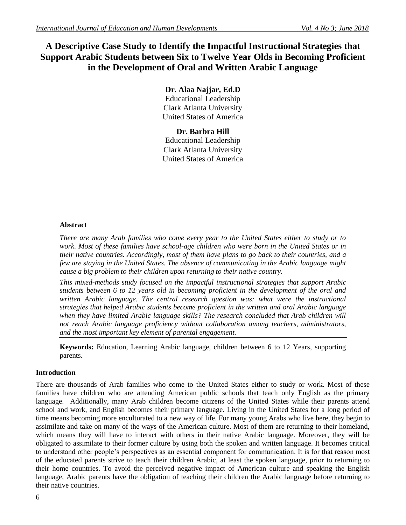# **A Descriptive Case Study to Identify the Impactful Instructional Strategies that Support Arabic Students between Six to Twelve Year Olds in Becoming Proficient in the Development of Oral and Written Arabic Language**

# **Dr. Alaa Najjar, Ed.D**

Educational Leadership Clark Atlanta University United States of America

# **Dr. Barbra Hill** Educational Leadership Clark Atlanta University United States of America

# **Abstract**

*There are many Arab families who come every year to the United States either to study or to work. Most of these families have school-age children who were born in the United States or in their native countries. Accordingly, most of them have plans to go back to their countries, and a few are staying in the United States. The absence of communicating in the Arabic language might cause a big problem to their children upon returning to their native country.* 

*This mixed-methods study focused on the impactful instructional strategies that support Arabic students between 6 to 12 years old in becoming proficient in the development of the oral and*  written Arabic language. The central research question was: what were the instructional *strategies that helped Arabic students become proficient in the written and oral Arabic language when they have limited Arabic language skills? The research concluded that Arab children will not reach Arabic language proficiency without collaboration among teachers, administrators, and the most important key element of parental engagement.*

**Keywords:** Education, Learning Arabic language, children between 6 to 12 Years, supporting parents.

# **Introduction**

There are thousands of Arab families who come to the United States either to study or work. Most of these families have children who are attending American public schools that teach only English as the primary language. Additionally, many Arab children become citizens of the United States while their parents attend school and work, and English becomes their primary language. Living in the United States for a long period of time means becoming more enculturated to a new way of life. For many young Arabs who live here, they begin to assimilate and take on many of the ways of the American culture. Most of them are returning to their homeland, which means they will have to interact with others in their native Arabic language. Moreover, they will be obligated to assimilate to their former culture by using both the spoken and written language. It becomes critical to understand other people's perspectives as an essential component for communication. It is for that reason most of the educated parents strive to teach their children Arabic, at least the spoken language, prior to returning to their home countries. To avoid the perceived negative impact of American culture and speaking the English language, Arabic parents have the obligation of teaching their children the Arabic language before returning to their native countries.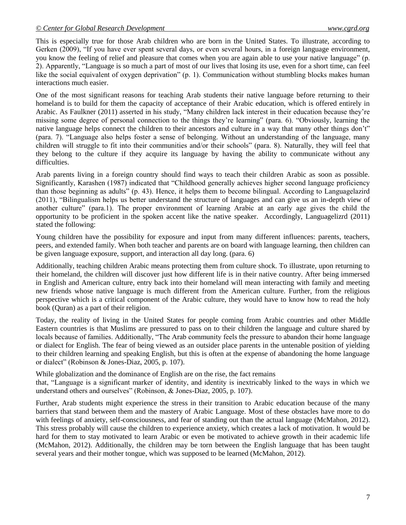This is especially true for those Arab children who are born in the United States. To illustrate, according to Gerken (2009), "If you have ever spent several days, or even several hours, in a foreign language environment, you know the feeling of relief and pleasure that comes when you are again able to use your native language" (p. 2). Apparently, "Language is so much a part of most of our lives that losing its use, even for a short time, can feel like the social equivalent of oxygen deprivation" (p. 1). Communication without stumbling blocks makes human interactions much easier.

One of the most significant reasons for teaching Arab students their native language before returning to their homeland is to build for them the capacity of acceptance of their Arabic education, which is offered entirely in Arabic. As Faulkner (2011) asserted in his study, "Many children lack interest in their education because they're missing some degree of personal connection to the things they're learning" (para. 6). "Obviously, learning the native language helps connect the children to their ancestors and culture in a way that many other things don't" (para. 7). "Language also helps foster a sense of belonging. Without an understanding of the language, many children will struggle to fit into their communities and/or their schools" (para. 8). Naturally, they will feel that they belong to the culture if they acquire its language by having the ability to communicate without any difficulties.

Arab parents living in a foreign country should find ways to teach their children Arabic as soon as possible. Significantly, Karashen (1987) indicated that "Childhood generally achieves higher second language proficiency than those beginning as adults" (p. 43). Hence, it helps them to become bilingual. According to Languagelazird (2011), "Bilingualism helps us better understand the structure of languages and can give us an in-depth view of another culture" (para.1). The proper environment of learning Arabic at an early age gives the child the opportunity to be proficient in the spoken accent like the native speaker. Accordingly, Languagelizrd (2011) stated the following:

Young children have the possibility for exposure and input from many different influences: parents, teachers, peers, and extended family. When both teacher and parents are on board with language learning, then children can be given language exposure, support, and interaction all day long. (para. 6)

Additionally, teaching children Arabic means protecting them from culture shock. To illustrate, upon returning to their homeland, the children will discover just how different life is in their native country. After being immersed in English and American culture, entry back into their homeland will mean interacting with family and meeting new friends whose native language is much different from the American culture. Further, from the religious perspective which is a critical component of the Arabic culture, they would have to know how to read the holy book (Quran) as a part of their religion.

Today, the reality of living in the United States for people coming from Arabic countries and other Middle Eastern countries is that Muslims are pressured to pass on to their children the language and culture shared by locals because of families. Additionally, "The Arab community feels the pressure to abandon their home language or dialect for English. The fear of being viewed as an outsider place parents in the untenable position of yielding to their children learning and speaking English, but this is often at the expense of abandoning the home language or dialect" (Robinson & Jones-Diaz, 2005, p. 107).

While globalization and the dominance of English are on the rise, the fact remains

that, "Language is a significant marker of identity, and identity is inextricably linked to the ways in which we understand others and ourselves" (Robinson, & Jones-Diaz, 2005, p. 107).

Further, Arab students might experience the stress in their transition to Arabic education because of the many barriers that stand between them and the mastery of Arabic Language. Most of these obstacles have more to do with feelings of anxiety, self-consciousness, and fear of standing out than the actual language (McMahon, 2012). This stress probably will cause the children to experience anxiety, which creates a lack of motivation. It would be hard for them to stay motivated to learn Arabic or even be motivated to achieve growth in their academic life (McMahon, 2012). Additionally, the children may be torn between the English language that has been taught several years and their mother tongue, which was supposed to be learned (McMahon, 2012).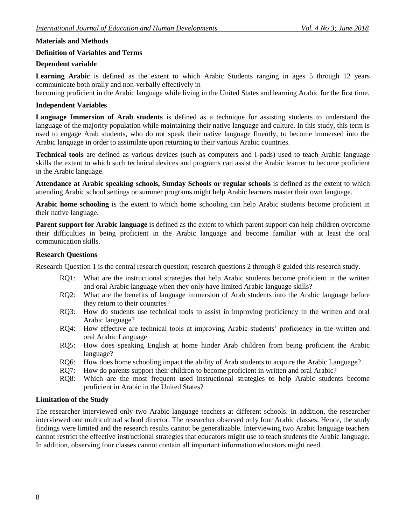# **Materials and Methods**

#### **Definition of Variables and Terms**

#### **Dependent variable**

**Learning Arabic** is defined as the extent to which Arabic Students ranging in ages 5 through 12 years communicate both orally and non-verbally effectively in

becoming proficient in the Arabic language while living in the United States and learning Arabic for the first time.

#### **Independent Variables**

**Language Immersion of Arab students** is defined as a technique for assisting students to understand the language of the majority population while maintaining their native language and culture. In this study, this term is used to engage Arab students, who do not speak their native language fluently, to become immersed into the Arabic language in order to assimilate upon returning to their various Arabic countries.

**Technical tools** are defined as various devices (such as computers and I-pads) used to teach Arabic language skills the extent to which such technical devices and programs can assist the Arabic learner to become proficient in the Arabic language.

**Attendance at Arabic speaking schools, Sunday Schools or regular schools** is defined as the extent to which attending Arabic school settings or summer programs might help Arabic learners master their own language.

**Arabic home schooling** is the extent to which home schooling can help Arabic students become proficient in their native language.

**Parent support for Arabic language** is defined as the extent to which parent support can help children overcome their difficulties in being proficient in the Arabic language and become familiar with at least the oral communication skills.

#### **Research Questions**

Research Question 1 is the central research question; research questions 2 through 8 guided this research study.

- RQ1: What are the instructional strategies that help Arabic students become proficient in the written and oral Arabic language when they only have limited Arabic language skills?
- RQ2: What are the benefits of language immersion of Arab students into the Arabic language before they return to their countries?
- RQ3: How do students use technical tools to assist in improving proficiency in the written and oral Arabic language?
- RQ4: How effective are technical tools at improving Arabic students' proficiency in the written and oral Arabic Language
- RQ5: How does speaking English at home hinder Arab children from being proficient the Arabic language?
- RQ6: How does home schooling impact the ability of Arab students to acquire the Arabic Language?
- RQ7: How do parents support their children to become proficient in written and oral Arabic?
- RQ8: Which are the most frequent used instructional strategies to help Arabic students become proficient in Arabic in the United States?

#### **Limitation of the Study**

The researcher interviewed only two Arabic language teachers at different schools. In addition, the researcher interviewed one multicultural school director. The researcher observed only four Arabic classes. Hence, the study findings were limited and the research results cannot be generalizable. Interviewing two Arabic language teachers cannot restrict the effective instructional strategies that educators might use to teach students the Arabic language. In addition, observing four classes cannot contain all important information educators might need.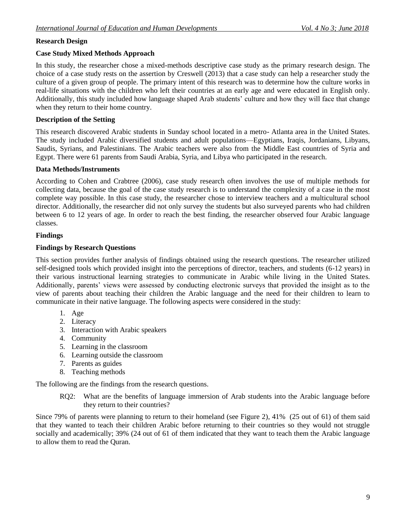## **Research Design**

### **Case Study Mixed Methods Approach**

In this study, the researcher chose a mixed-methods descriptive case study as the primary research design. The choice of a case study rests on the assertion by Creswell (2013) that a case study can help a researcher study the culture of a given group of people. The primary intent of this research was to determine how the culture works in real-life situations with the children who left their countries at an early age and were educated in English only. Additionally, this study included how language shaped Arab students' culture and how they will face that change when they return to their home country.

### **Description of the Setting**

This research discovered Arabic students in Sunday school located in a metro- Atlanta area in the United States. The study included Arabic diversified students and adult populations—Egyptians, Iraqis, Jordanians, Libyans, Saudis, Syrians, and Palestinians. The Arabic teachers were also from the Middle East countries of Syria and Egypt. There were 61 parents from Saudi Arabia, Syria, and Libya who participated in the research.

#### **Data Methods/Instruments**

According to Cohen and Crabtree (2006), case study research often involves the use of multiple methods for collecting data, because the goal of the case study research is to understand the complexity of a case in the most complete way possible. In this case study, the researcher chose to interview teachers and a multicultural school director. Additionally, the researcher did not only survey the students but also surveyed parents who had children between 6 to 12 years of age. In order to reach the best finding, the researcher observed four Arabic language classes.

## **Findings**

## **Findings by Research Questions**

This section provides further analysis of findings obtained using the research questions. The researcher utilized self-designed tools which provided insight into the perceptions of director, teachers, and students (6-12 years) in their various instructional learning strategies to communicate in Arabic while living in the United States. Additionally, parents' views were assessed by conducting electronic surveys that provided the insight as to the view of parents about teaching their children the Arabic language and the need for their children to learn to communicate in their native language. The following aspects were considered in the study:

- 1. Age
- 2. Literacy
- 3. Interaction with Arabic speakers
- 4. Community
- 5. Learning in the classroom
- 6. Learning outside the classroom
- 7. Parents as guides
- 8. Teaching methods

The following are the findings from the research questions.

RQ2: What are the benefits of language immersion of Arab students into the Arabic language before they return to their countries?

Since 79% of parents were planning to return to their homeland (see Figure 2), 41% (25 out of 61) of them said that they wanted to teach their children Arabic before returning to their countries so they would not struggle socially and academically; 39% (24 out of 61 of them indicated that they want to teach them the Arabic language to allow them to read the Quran.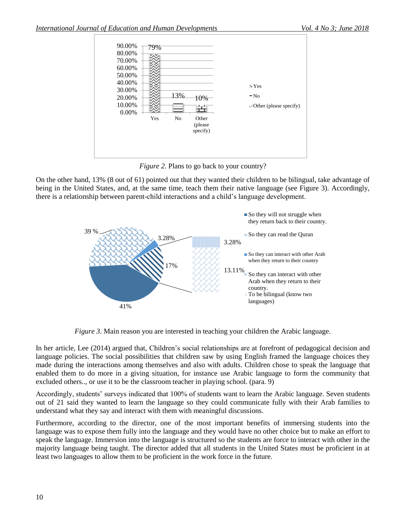

*Figure 2.* Plans to go back to your country?

On the other hand, 13% (8 out of 61) pointed out that they wanted their children to be bilingual, take advantage of being in the United States, and, at the same time, teach them their native language (see Figure 3). Accordingly, there is a relationship between parent-child interactions and a child's language development.



*Figure 3*. Main reason you are interested in teaching your children the Arabic language.

In her article, Lee (2014) argued that, Children's social relationships are at forefront of pedagogical decision and language policies. The social possibilities that children saw by using English framed the language choices they made during the interactions among themselves and also with adults. Children chose to speak the language that enabled them to do more in a giving situation, for instance use Arabic language to form the community that excluded others.., or use it to be the classroom teacher in playing school. (para. 9)

Accordingly, students' surveys indicated that 100% of students want to learn the Arabic language. Seven students out of 21 said they wanted to learn the language so they could communicate fully with their Arab families to understand what they say and interact with them with meaningful discussions.

Furthermore, according to the director, one of the most important benefits of immersing students into the language was to expose them fully into the language and they would have no other choice but to make an effort to speak the language. Immersion into the language is structured so the students are force to interact with other in the majority language being taught. The director added that all students in the United States must be proficient in at least two languages to allow them to be proficient in the work force in the future.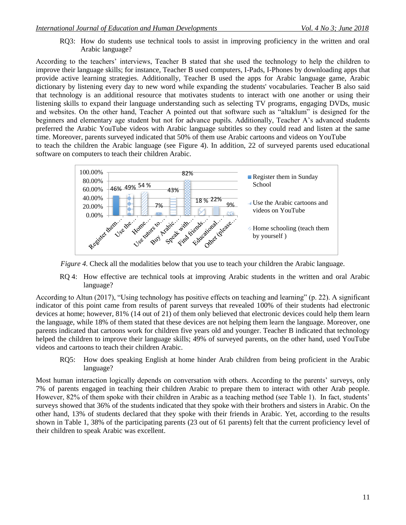RO3: How do students use technical tools to assist in improving proficiency in the written and oral Arabic language?

According to the teachers' interviews, Teacher B stated that she used the technology to help the children to improve their language skills; for instance, Teacher B used computers, I-Pads, I-Phones by downloading apps that provide active learning strategies. Additionally, Teacher B used the apps for Arabic language game, Arabic dictionary by listening every day to new word while expanding the students' vocabularies. Teacher B also said that technology is an additional resource that motivates students to interact with one another or using their listening skills to expand their language understanding such as selecting TV programs, engaging DVDs, music and websites. On the other hand, Teacher A pointed out that software such as "altaklum" is designed for the beginners and elementary age student but not for advance pupils. Additionally, Teacher A's advanced students preferred the Arabic YouTube videos with Arabic language subtitles so they could read and listen at the same time. Moreover, parents surveyed indicated that 50% of them use Arabic cartoons and videos on YouTube to teach the children the Arabic language (see Figure 4). In addition, 22 of surveyed parents used educational software on computers to teach their children Arabic.



*Figure 4*. Check all the modalities below that you use to teach your children the Arabic language.

RQ 4: How effective are technical tools at improving Arabic students in the written and oral Arabic language?

According to Altun (2017), "Using technology has positive effects on teaching and learning" (p. 22). A significant indicator of this point came from results of parent surveys that revealed 100% of their students had electronic devices at home; however, 81% (14 out of 21) of them only believed that electronic devices could help them learn the language, while 18% of them stated that these devices are not helping them learn the language. Moreover, one parents indicated that cartoons work for children five years old and younger. Teacher B indicated that technology helped the children to improve their language skills; 49% of surveyed parents, on the other hand, used YouTube videos and cartoons to teach their children Arabic.

RQ5: How does speaking English at home hinder Arab children from being proficient in the Arabic language?

Most human interaction logically depends on conversation with others. According to the parents' surveys, only 7% of parents engaged in teaching their children Arabic to prepare them to interact with other Arab people. However, 82% of them spoke with their children in Arabic as a teaching method (see Table 1). In fact, students' surveys showed that 36% of the students indicated that they spoke with their brothers and sisters in Arabic. On the other hand, 13% of students declared that they spoke with their friends in Arabic. Yet, according to the results shown in Table 1, 38% of the participating parents (23 out of 61 parents) felt that the current proficiency level of their children to speak Arabic was excellent.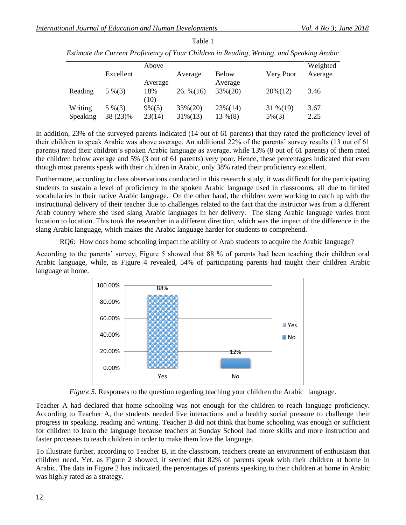|          |           | Above    |               |              |             | Weighted |
|----------|-----------|----------|---------------|--------------|-------------|----------|
|          | Excellent |          | Average       | <b>Below</b> | Very Poor   | Average  |
|          |           | Average  |               | Average      |             |          |
| Reading  | $5\%$ (3) | 18%      | $26. \% (16)$ | 33%(20)      | $20\%(12)$  | 3.46     |
|          |           | (10)     |               |              |             |          |
| Writing  | $5\%$ (3) | $9\%(5)$ | $33\%(20)$    | $23\%(14)$   | $31\% (19)$ | 3.67     |
| Speaking | 38 (23)%  | 23(14)   | $31\%(13)$    | $13\%$ $(8)$ | $5\%(3)$    | 2.25     |

| Table 1 |
|---------|
|         |

In addition, 23% of the surveyed parents indicated (14 out of 61 parents) that they rated the proficiency level of their children to speak Arabic was above average. An additional 22% of the parents' survey results (13 out of 61 parents) rated their children's spoken Arabic language as average, while 13% (8 out of 61 parents) of them rated the children below average and 5% (3 out of 61 parents) very poor. Hence, these percentages indicated that even though most parents speak with their children in Arabic, only 38% rated their proficiency excellent.

Furthermore, according to class observations conducted in this research study, it was difficult for the participating students to sustain a level of proficiency in the spoken Arabic language used in classrooms, all due to limited vocabularies in their native Arabic language. On the other hand, the children were working to catch up with the instructional delivery of their teacher due to challenges related to the fact that the instructor was from a different Arab country where she used slang Arabic languages in her delivery. The slang Arabic language varies from location to location. This took the researcher in a different direction, which was the impact of the difference in the slang Arabic language, which makes the Arabic language harder for students to comprehend.

RQ6: How does home schooling impact the ability of Arab students to acquire the Arabic language?

According to the parents' survey, Figure 5 showed that 88 % of parents had been teaching their children oral Arabic language, while, as Figure 4 revealed, 54% of participating parents had taught their children Arabic language at home.



*Figure 5.* Responses to the question regarding teaching your children the Arabic language.

Teacher A had declared that home schooling was not enough for the children to reach language proficiency. According to Teacher A, the students needed live interactions and a healthy social pressure to challenge their progress in speaking, reading and writing. Teacher B did not think that home schooling was enough or sufficient for children to learn the language because teachers at Sunday School had more skills and more instruction and faster processes to teach children in order to make them love the language.

To illustrate further, according to Teacher B, in the classroom, teachers create an environment of enthusiasm that children need. Yet, as Figure 2 showed, it seemed that 82% of parents speak with their children at home in Arabic. The data in Figure 2 has indicated, the percentages of parents speaking to their children at home in Arabic was highly rated as a strategy.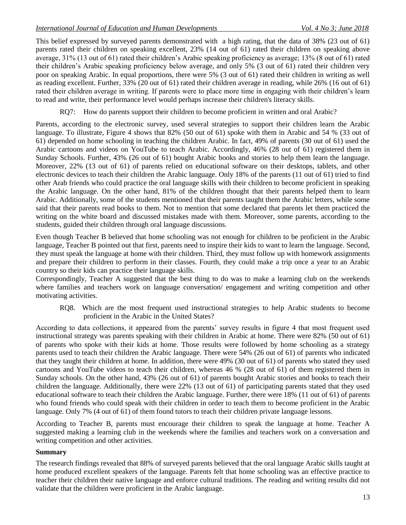This belief expressed by surveyed parents demonstrated with a high rating, that the data of 38% (23 out of 61) parents rated their children on speaking excellent, 23% (14 out of 61) rated their children on speaking above average, 31% (13 out of 61) rated their children's Arabic speaking proficiency as average; 13% (8 out of 61) rated their children's Arabic speaking proficiency below average, and only 5% (3 out of 61) rated their children very poor on speaking Arabic. In equal proportions, there were 5% (3 out of 61) rated their children in writing as well as reading excellent. Further, 33% (20 out of 61) rated their children average in reading, while 26% (16 out of 61) rated their children average in writing. If parents were to place more time in engaging with their children's learn to read and write, their performance level would perhaps increase their children's literacy skills.

RQ7: How do parents support their children to become proficient in written and oral Arabic?

Parents, according to the electronic survey, used several strategies to support their children learn the Arabic language. To illustrate, Figure 4 shows that 82% (50 out of 61) spoke with them in Arabic and 54 % (33 out of 61) depended on home schooling in teaching the children Arabic. In fact, 49% of parents (30 out of 61) used the Arabic cartoons and videos on YouTube to teach Arabic. Accordingly, 46% (28 out of 61) registered them in Sunday Schools. Further, 43% (26 out of 61) bought Arabic books and stories to help them learn the language. Moreover, 22% (13 out of 61) of parents relied on educational software on their desktops, tablets, and other electronic devices to teach their children the Arabic language. Only 18% of the parents (11 out of 61) tried to find other Arab friends who could practice the oral language skills with their children to become proficient in speaking the Arabic language. On the other hand, 81% of the children thought that their parents helped them to learn Arabic. Additionally, some of the students mentioned that their parents taught them the Arabic letters, while some said that their parents read books to them. Not to mention that some declared that parents let them practiced the writing on the white board and discussed mistakes made with them. Moreover, some parents, according to the students, guided their children through oral language discussions.

Even though Teacher B believed that home schooling was not enough for children to be proficient in the Arabic language, Teacher B pointed out that first, parents need to inspire their kids to want to learn the language. Second, they must speak the language at home with their children. Third, they must follow up with homework assignments and prepare their children to perform in their classes. Fourth, they could make a trip once a year to an Arabic country so their kids can practice their language skills.

Correspondingly, Teacher A suggested that the best thing to do was to make a learning club on the weekends where families and teachers work on language conversation/ engagement and writing competition and other motivating activities.

RQ8. Which are the most frequent used instructional strategies to help Arabic students to become proficient in the Arabic in the United States?

According to data collections, it appeared from the parents' survey results in figure 4 that most frequent used instructional strategy was parents speaking with their children in Arabic at home. There were 82% (50 out of 61) of parents who spoke with their kids at home. Those results were followed by home schooling as a strategy parents used to teach their children the Arabic language. There were 54% (26 out of 61) of parents who indicated that they taught their children at home. In addition, there were 49% (30 out of 61) of parents who stated they used cartoons and YouTube videos to teach their children, whereas 46 % (28 out of 61) of them registered them in Sunday schools. On the other hand, 43% (26 out of 61) of parents bought Arabic stories and books to teach their children the language. Additionally, there were 22% (13 out of 61) of participating parents stated that they used educational software to teach their children the Arabic language. Further, there were 18% (11 out of 61) of parents who found friends who could speak with their children in order to teach them to become proficient in the Arabic language. Only 7% (4 out of 61) of them found tutors to teach their children private language lessons.

According to Teacher B, parents must encourage their children to speak the language at home. Teacher A suggested making a learning club in the weekends where the families and teachers work on a conversation and writing competition and other activities.

# **Summary**

The research findings revealed that 88% of surveyed parents believed that the oral language Arabic skills taught at home produced excellent speakers of the language. Parents felt that home schooling was an effective practice to teacher their children their native language and enforce cultural traditions. The reading and writing results did not validate that the children were proficient in the Arabic language.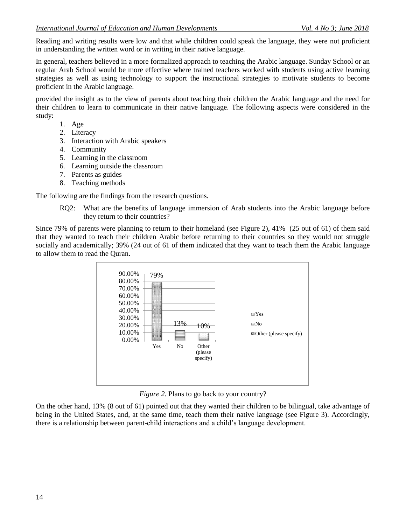Reading and writing results were low and that while children could speak the language, they were not proficient in understanding the written word or in writing in their native language.

In general, teachers believed in a more formalized approach to teaching the Arabic language. Sunday School or an regular Arab School would be more effective where trained teachers worked with students using active learning strategies as well as using technology to support the instructional strategies to motivate students to become proficient in the Arabic language.

provided the insight as to the view of parents about teaching their children the Arabic language and the need for their children to learn to communicate in their native language. The following aspects were considered in the study:

- 1. Age
- 2. Literacy
- 3. Interaction with Arabic speakers
- 4. Community
- 5. Learning in the classroom
- 6. Learning outside the classroom
- 7. Parents as guides
- 8. Teaching methods

The following are the findings from the research questions.

RQ2: What are the benefits of language immersion of Arab students into the Arabic language before they return to their countries?

Since 79% of parents were planning to return to their homeland (see Figure 2), 41% (25 out of 61) of them said that they wanted to teach their children Arabic before returning to their countries so they would not struggle socially and academically; 39% (24 out of 61 of them indicated that they want to teach them the Arabic language to allow them to read the Quran.



*Figure 2.* Plans to go back to your country?

On the other hand, 13% (8 out of 61) pointed out that they wanted their children to be bilingual, take advantage of being in the United States, and, at the same time, teach them their native language (see Figure 3). Accordingly, there is a relationship between parent-child interactions and a child's language development.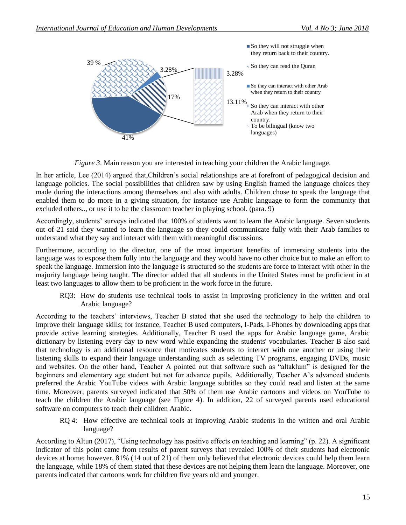

*Figure 3*. Main reason you are interested in teaching your children the Arabic language.

In her article, Lee (2014) argued that,Children's social relationships are at forefront of pedagogical decision and language policies. The social possibilities that children saw by using English framed the language choices they made during the interactions among themselves and also with adults. Children chose to speak the language that enabled them to do more in a giving situation, for instance use Arabic language to form the community that excluded others.., or use it to be the classroom teacher in playing school. (para. 9)

Accordingly, students' surveys indicated that 100% of students want to learn the Arabic language. Seven students out of 21 said they wanted to learn the language so they could communicate fully with their Arab families to understand what they say and interact with them with meaningful discussions.

Furthermore, according to the director, one of the most important benefits of immersing students into the language was to expose them fully into the language and they would have no other choice but to make an effort to speak the language. Immersion into the language is structured so the students are force to interact with other in the majority language being taught. The director added that all students in the United States must be proficient in at least two languages to allow them to be proficient in the work force in the future.

RQ3: How do students use technical tools to assist in improving proficiency in the written and oral Arabic language?

According to the teachers' interviews, Teacher B stated that she used the technology to help the children to improve their language skills; for instance, Teacher B used computers, I-Pads, I-Phones by downloading apps that provide active learning strategies. Additionally, Teacher B used the apps for Arabic language game, Arabic dictionary by listening every day to new word while expanding the students' vocabularies. Teacher B also said that technology is an additional resource that motivates students to interact with one another or using their listening skills to expand their language understanding such as selecting TV programs, engaging DVDs, music and websites. On the other hand, Teacher A pointed out that software such as "altaklum" is designed for the beginners and elementary age student but not for advance pupils. Additionally, Teacher A's advanced students preferred the Arabic YouTube videos with Arabic language subtitles so they could read and listen at the same time. Moreover, parents surveyed indicated that 50% of them use Arabic cartoons and videos on YouTube to teach the children the Arabic language (see Figure 4). In addition, 22 of surveyed parents used educational software on computers to teach their children Arabic.

RQ 4: How effective are technical tools at improving Arabic students in the written and oral Arabic language?

According to Altun (2017), "Using technology has positive effects on teaching and learning" (p. 22). A significant indicator of this point came from results of parent surveys that revealed 100% of their students had electronic devices at home; however, 81% (14 out of 21) of them only believed that electronic devices could help them learn the language, while 18% of them stated that these devices are not helping them learn the language. Moreover, one parents indicated that cartoons work for children five years old and younger.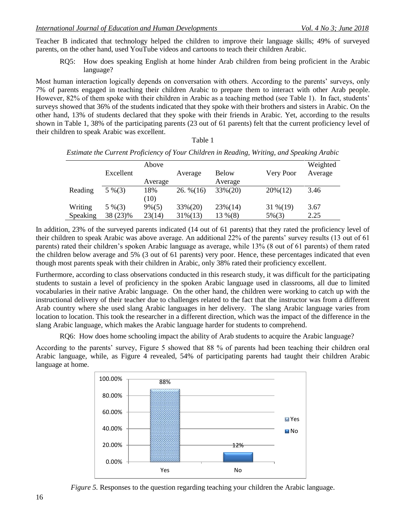Teacher B indicated that technology helped the children to improve their language skills; 49% of surveyed parents, on the other hand, used YouTube videos and cartoons to teach their children Arabic.

RQ5: How does speaking English at home hinder Arab children from being proficient in the Arabic language?

Most human interaction logically depends on conversation with others. According to the parents' surveys, only 7% of parents engaged in teaching their children Arabic to prepare them to interact with other Arab people. However, 82% of them spoke with their children in Arabic as a teaching method (see Table 1). In fact, students' surveys showed that 36% of the students indicated that they spoke with their brothers and sisters in Arabic. On the other hand, 13% of students declared that they spoke with their friends in Arabic. Yet, according to the results shown in Table 1, 38% of the participating parents (23 out of 61 parents) felt that the current proficiency level of their children to speak Arabic was excellent.

|          |           | Above    |               |              |             | Weighted |
|----------|-----------|----------|---------------|--------------|-------------|----------|
|          | Excellent |          | Average       | <b>Below</b> | Very Poor   | Average  |
|          |           | Average  |               | Average      |             |          |
| Reading  | $5\%$ (3) | 18%      | $26. \% (16)$ | 33%(20)      | $20\%(12)$  | 3.46     |
|          |           | (10)     |               |              |             |          |
| Writing  | $5\%$ (3) | $9\%(5)$ | 33%(20)       | $23\%(14)$   | $31\% (19)$ | 3.67     |
| Speaking | 38 (23)%  | 23(14)   | $31\%(13)$    | 13 % (8)     | $5\%(3)$    | 2.25     |

Table 1 *Estimate the Current Proficiency of Your Children in Reading, Writing, and Speaking Arabic*

In addition, 23% of the surveyed parents indicated (14 out of 61 parents) that they rated the proficiency level of their children to speak Arabic was above average. An additional 22% of the parents' survey results (13 out of 61 parents) rated their children's spoken Arabic language as average, while 13% (8 out of 61 parents) of them rated the children below average and 5% (3 out of 61 parents) very poor. Hence, these percentages indicated that even though most parents speak with their children in Arabic, only 38% rated their proficiency excellent.

Furthermore, according to class observations conducted in this research study, it was difficult for the participating students to sustain a level of proficiency in the spoken Arabic language used in classrooms, all due to limited vocabularies in their native Arabic language. On the other hand, the children were working to catch up with the instructional delivery of their teacher due to challenges related to the fact that the instructor was from a different Arab country where she used slang Arabic languages in her delivery. The slang Arabic language varies from location to location. This took the researcher in a different direction, which was the impact of the difference in the slang Arabic language, which makes the Arabic language harder for students to comprehend.

RQ6: How does home schooling impact the ability of Arab students to acquire the Arabic language?

According to the parents' survey, Figure 5 showed that 88 % of parents had been teaching their children oral Arabic language, while, as Figure 4 revealed, 54% of participating parents had taught their children Arabic language at home.



*Figure 5.* Responses to the question regarding teaching your children the Arabic language.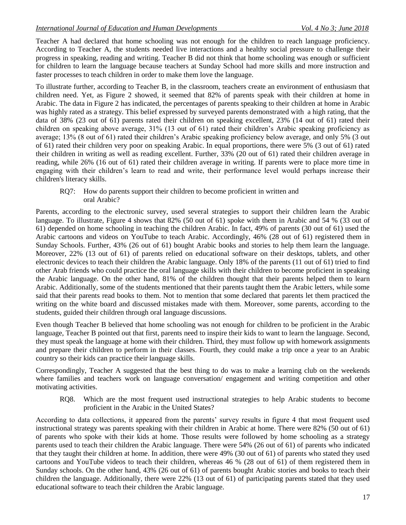Teacher A had declared that home schooling was not enough for the children to reach language proficiency. According to Teacher A, the students needed live interactions and a healthy social pressure to challenge their progress in speaking, reading and writing. Teacher B did not think that home schooling was enough or sufficient for children to learn the language because teachers at Sunday School had more skills and more instruction and faster processes to teach children in order to make them love the language.

To illustrate further, according to Teacher B, in the classroom, teachers create an environment of enthusiasm that children need. Yet, as Figure 2 showed, it seemed that 82% of parents speak with their children at home in Arabic. The data in Figure 2 has indicated, the percentages of parents speaking to their children at home in Arabic was highly rated as a strategy. This belief expressed by surveyed parents demonstrated with a high rating, that the data of 38% (23 out of 61) parents rated their children on speaking excellent, 23% (14 out of 61) rated their children on speaking above average, 31% (13 out of 61) rated their children's Arabic speaking proficiency as average; 13% (8 out of 61) rated their children's Arabic speaking proficiency below average, and only 5% (3 out of 61) rated their children very poor on speaking Arabic. In equal proportions, there were 5% (3 out of 61) rated their children in writing as well as reading excellent. Further, 33% (20 out of 61) rated their children average in reading, while 26% (16 out of 61) rated their children average in writing. If parents were to place more time in engaging with their children's learn to read and write, their performance level would perhaps increase their children's literacy skills.

RQ7: How do parents support their children to become proficient in written and oral Arabic?

Parents, according to the electronic survey, used several strategies to support their children learn the Arabic language. To illustrate, Figure 4 shows that 82% (50 out of 61) spoke with them in Arabic and 54 % (33 out of 61) depended on home schooling in teaching the children Arabic. In fact, 49% of parents (30 out of 61) used the Arabic cartoons and videos on YouTube to teach Arabic. Accordingly, 46% (28 out of 61) registered them in Sunday Schools. Further, 43% (26 out of 61) bought Arabic books and stories to help them learn the language. Moreover, 22% (13 out of 61) of parents relied on educational software on their desktops, tablets, and other electronic devices to teach their children the Arabic language. Only 18% of the parents (11 out of 61) tried to find other Arab friends who could practice the oral language skills with their children to become proficient in speaking the Arabic language. On the other hand, 81% of the children thought that their parents helped them to learn Arabic. Additionally, some of the students mentioned that their parents taught them the Arabic letters, while some said that their parents read books to them. Not to mention that some declared that parents let them practiced the writing on the white board and discussed mistakes made with them. Moreover, some parents, according to the students, guided their children through oral language discussions.

Even though Teacher B believed that home schooling was not enough for children to be proficient in the Arabic language, Teacher B pointed out that first, parents need to inspire their kids to want to learn the language. Second, they must speak the language at home with their children. Third, they must follow up with homework assignments and prepare their children to perform in their classes. Fourth, they could make a trip once a year to an Arabic country so their kids can practice their language skills.

Correspondingly, Teacher A suggested that the best thing to do was to make a learning club on the weekends where families and teachers work on language conversation/ engagement and writing competition and other motivating activities.

RQ8. Which are the most frequent used instructional strategies to help Arabic students to become proficient in the Arabic in the United States?

According to data collections, it appeared from the parents' survey results in figure 4 that most frequent used instructional strategy was parents speaking with their children in Arabic at home. There were 82% (50 out of 61) of parents who spoke with their kids at home. Those results were followed by home schooling as a strategy parents used to teach their children the Arabic language. There were 54% (26 out of 61) of parents who indicated that they taught their children at home. In addition, there were 49% (30 out of 61) of parents who stated they used cartoons and YouTube videos to teach their children, whereas 46 % (28 out of 61) of them registered them in Sunday schools. On the other hand, 43% (26 out of 61) of parents bought Arabic stories and books to teach their children the language. Additionally, there were 22% (13 out of 61) of participating parents stated that they used educational software to teach their children the Arabic language.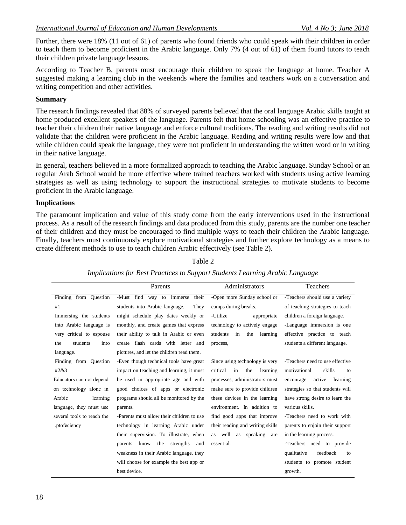Further, there were 18% (11 out of 61) of parents who found friends who could speak with their children in order to teach them to become proficient in the Arabic language. Only 7% (4 out of 61) of them found tutors to teach their children private language lessons.

According to Teacher B, parents must encourage their children to speak the language at home. Teacher A suggested making a learning club in the weekends where the families and teachers work on a conversation and writing competition and other activities.

### **Summary**

The research findings revealed that 88% of surveyed parents believed that the oral language Arabic skills taught at home produced excellent speakers of the language. Parents felt that home schooling was an effective practice to teacher their children their native language and enforce cultural traditions. The reading and writing results did not validate that the children were proficient in the Arabic language. Reading and writing results were low and that while children could speak the language, they were not proficient in understanding the written word or in writing in their native language.

In general, teachers believed in a more formalized approach to teaching the Arabic language. Sunday School or an regular Arab School would be more effective where trained teachers worked with students using active learning strategies as well as using technology to support the instructional strategies to motivate students to become proficient in the Arabic language.

## **Implications**

The paramount implication and value of this study come from the early interventions used in the instructional process. As a result of the research findings and data produced from this study, parents are the number one teacher of their children and they must be encouraged to find multiple ways to teach their children the Arabic language. Finally, teachers must continuously explore motivational strategies and further explore technology as a means to create different methods to use to teach children Arabic effectively (see Table 2).

|                            | Parents                                    | Administrators                    | Teachers                         |
|----------------------------|--------------------------------------------|-----------------------------------|----------------------------------|
| Finding from Question      | -Must find<br>way to immerse their         | -Open more Sunday school or       | -Teachers should use a variety   |
| #1                         | students into Arabic language.<br>-They    | camps during breaks.              | of teaching strategies to teach  |
| Immersing the students     | might schedule play dates weekly or        | -Utilize<br>appropriate           | children a foreign language.     |
| into Arabic language is    | monthly, and create games that express     | technology to actively engage     | -Language immersion is one       |
| very critical to espouse   | their ability to talk in Arabic or even    | students<br>in<br>learning<br>the | effective practice to teach      |
| students<br>into<br>the    | create flash cards with letter and         | process,                          | students a different language.   |
| language.                  | pictures, and let the children read them.  |                                   |                                  |
| Finding from Question      | -Even though technical tools have great    | Since using technology is very    | -Teachers need to use effective  |
| #2&3                       | impact on teaching and learning, it must   | critical<br>in<br>the<br>learning | motivational<br>skills<br>to     |
| Educators can not depend   | be used in appropriate age and with        | processes, administrators must    | active<br>learning<br>encourage  |
| on technology alone in     | good choices of apps or electronic         | make sure to provide children     | strategies so that students will |
| Arabic<br>learning         | programs should all be monitored by the    | these devices in the learning     | have strong desire to learn the  |
| language, they must use    | parents.                                   | environment. In addition to       | various skills.                  |
| several tools to reach the | -Parents must allow their children to use  | find good apps that improve       | -Teachers need to work with      |
| .ptofeciency               | technology in learning Arabic under        | their reading and writing skills  | parents to enjoin their support  |
|                            | their supervision. To illustrate, when     | as well as speaking<br>are        | in the learning process.         |
|                            | know<br>the<br>strengths<br>parents<br>and | essential.                        | -Teachers need to provide        |
|                            | weakness in their Arabic language, they    |                                   | qualitative<br>feedback<br>to    |
|                            | will choose for example the best app or    |                                   | students to promote student      |
|                            | best device.                               |                                   | growth.                          |
|                            |                                            |                                   |                                  |

# Table 2

# *Implications for Best Practices to Support Students Learning Arabic Language*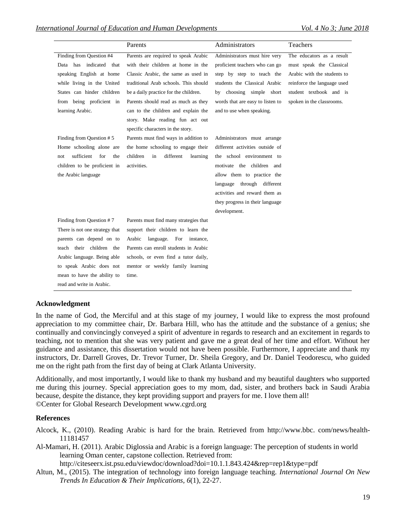|                                 | Parents                                 | Administrators                   | Teachers                    |
|---------------------------------|-----------------------------------------|----------------------------------|-----------------------------|
| Finding from Question #4        | Parents are required to speak Arabic    | Administrators must hire very    | The educators as a result   |
| Data has indicated that         | with their children at home in the      | proficient teachers who can go   | must speak the Classical    |
| speaking English at home        | Classic Arabic, the same as used in     | step by step to teach the        | Arabic with the students to |
| while living in the United      | traditional Arab schools. This should   | students the Classical Arabic    | reinforce the language used |
| States can hinder children      | be a daily practice for the children.   | by choosing simple short         | student textbook and is     |
| from being proficient in        | Parents should read as much as they     | words that are easy to listen to | spoken in the classrooms.   |
| learning Arabic.                | can to the children and explain the     | and to use when speaking.        |                             |
|                                 | story. Make reading fun act out         |                                  |                             |
|                                 | specific characters in the story.       |                                  |                             |
| Finding from Question #5        | Parents must find ways in addition to   | Administrators must arrange      |                             |
| Home schooling alone are        | the home schooling to engage their      | different activities outside of  |                             |
| sufficient<br>for<br>the<br>not | children<br>in<br>different<br>learning | the school environment to        |                             |
| children to be proficient in    | activities.                             | motivate the children and        |                             |
| the Arabic language             |                                         | allow them to practice the       |                             |
|                                 |                                         | language through different       |                             |
|                                 |                                         | activities and reward them as    |                             |
|                                 |                                         | they progress in their language  |                             |
|                                 |                                         | development.                     |                             |
| Finding from Question #7        | Parents must find many strategies that  |                                  |                             |
| There is not one strategy that  | support their children to learn the     |                                  |                             |
| parents can depend on to        | language. For<br>Arabic<br>instance,    |                                  |                             |
| teach their children the        | Parents can enroll students in Arabic   |                                  |                             |
| Arabic language. Being able     | schools, or even find a tutor daily,    |                                  |                             |
| to speak Arabic does not        | mentor or weekly family learning        |                                  |                             |
| mean to have the ability to     | time.                                   |                                  |                             |
| read and write in Arabic.       |                                         |                                  |                             |

#### **Acknowledgment**

In the name of God, the Merciful and at this stage of my journey, I would like to express the most profound appreciation to my committee chair, Dr. Barbara Hill, who has the attitude and the substance of a genius; she continually and convincingly conveyed a spirit of adventure in regards to research and an excitement in regards to teaching, not to mention that she was very patient and gave me a great deal of her time and effort. Without her guidance and assistance, this dissertation would not have been possible. Furthermore, I appreciate and thank my instructors, Dr. Darrell Groves, Dr. Trevor Turner, Dr. Sheila Gregory, and Dr. Daniel Teodorescu, who guided me on the right path from the first day of being at Clark Atlanta University.

Additionally, and most importantly, I would like to thank my husband and my beautiful daughters who supported me during this journey. Special appreciation goes to my mom, dad, sister, and brothers back in Saudi Arabia because, despite the distance, they kept providing support and prayers for me. I love them all! ©Center for Global Research Development www.cgrd.org

#### **References**

- Alcock, K., (2010). Reading Arabic is hard for the brain. Retrieved from [http://www.bbc.](http://www.bbc/) com/news/health-11181457
- Al-Mamari, H. (2011). Arabic Diglossia and Arabic is a foreign language: The perception of students in world learning Oman center, capstone collection. Retrieved from:

http://citeseerx.ist.psu.edu/viewdoc/download?doi=10.1.1.843.424&rep=rep1&type=pdf

Altun, M., (2015). The integration of technology into foreign language teaching. *International Journal On New Trends In Education & Their Implications, 6*(1), 22-27.